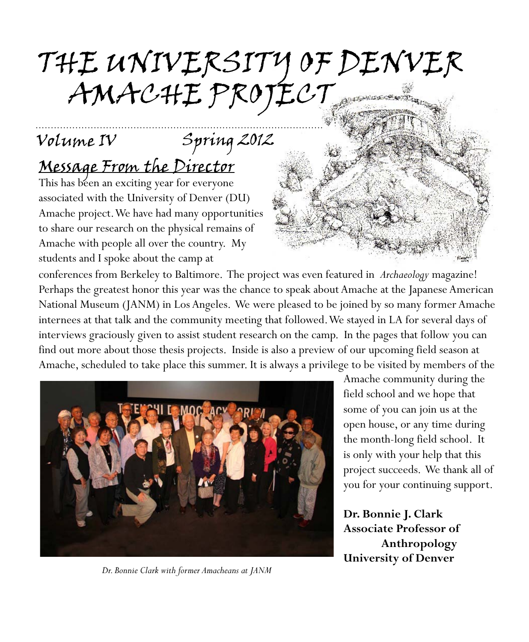# the university oF Denver AMAChe ProJeCt

## Volume IV Spring 2012

## Message From the Director

This has been an exciting year for everyone associated with the University of Denver (DU) Amache project. We have had many opportunities to share our research on the physical remains of Amache with people all over the country. My students and I spoke about the camp at

..............................................................................................

conferences from Berkeley to Baltimore. The project was even featured in *Archaeology* magazine! Perhaps the greatest honor this year was the chance to speak about Amache at the Japanese American National Museum (JANM) in Los Angeles. We were pleased to be joined by so many former Amache internees at that talk and the community meeting that followed. We stayed in LA for several days of interviews graciously given to assist student research on the camp. In the pages that follow you can find out more about those thesis projects. Inside is also a preview of our upcoming field season at Amache, scheduled to take place this summer. It is always a privilege to be visited by members of the



*Dr. Bonnie Clark with former Amacheans at JANM*

Amache community during the field school and we hope that some of you can join us at the open house, or any time during the month-long field school. It is only with your help that this project succeeds. We thank all of you for your continuing support.

**Dr. Bonnie J. Clark Associate Professor of Anthropology University of Denver**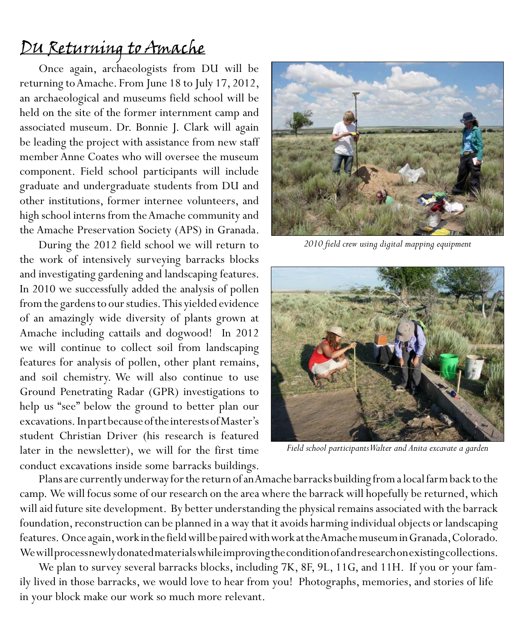#### Du returning to Amache

Once again, archaeologists from DU will be returning to Amache. From June 18 to July 17, 2012, an archaeological and museums field school will be held on the site of the former internment camp and associated museum. Dr. Bonnie J. Clark will again be leading the project with assistance from new staff member Anne Coates who will oversee the museum component. Field school participants will include graduate and undergraduate students from DU and other institutions, former internee volunteers, and high school interns from the Amache community and the Amache Preservation Society (APS) in Granada.

During the 2012 field school we will return to the work of intensively surveying barracks blocks and investigating gardening and landscaping features. In 2010 we successfully added the analysis of pollen from the gardens to our studies. This yielded evidence of an amazingly wide diversity of plants grown at Amache including cattails and dogwood! In 2012 we will continue to collect soil from landscaping features for analysis of pollen, other plant remains, and soil chemistry. We will also continue to use Ground Penetrating Radar (GPR) investigations to help us "see" below the ground to better plan our excavations. In part because of the interests of Master's student Christian Driver (his research is featured later in the newsletter), we will for the first time conduct excavations inside some barracks buildings.



*2010 field crew using digital mapping equipment*



*Field school participants Walter and Anita excavate a garden*

Plans are currently underway for the return of an Amache barracks building from a local farm back to the camp. We will focus some of our research on the area where the barrack will hopefully be returned, which will aid future site development. By better understanding the physical remains associated with the barrack foundation, reconstruction can be planned in a way that it avoids harming individual objects or landscaping features. Once again, work in the field will be paired with work at the Amache museum in Granada, Colorado. We will process newly donated materials while improving the condition of and research on existing collections.

We plan to survey several barracks blocks, including 7K, 8F, 9L, 11G, and 11H. If you or your family lived in those barracks, we would love to hear from you! Photographs, memories, and stories of life in your block make our work so much more relevant.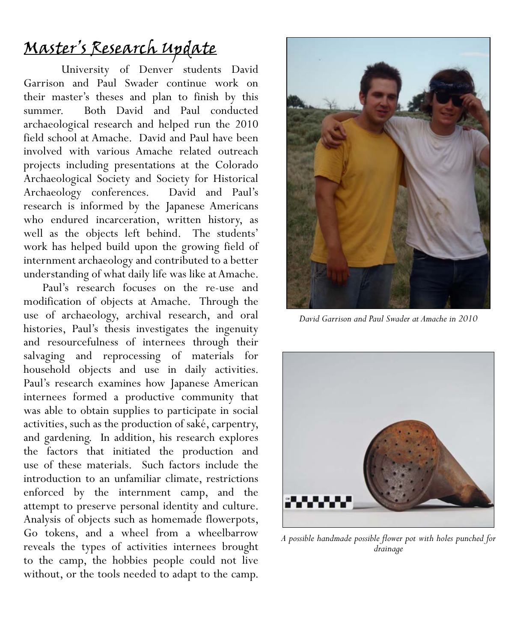## Master's Research update

University of Denver students David Garrison and Paul Swader continue work on their master's theses and plan to finish by this summer. Both David and Paul conducted archaeological research and helped run the 2010 field school at Amache. David and Paul have been involved with various Amache related outreach projects including presentations at the Colorado Archaeological Society and Society for Historical Archaeology conferences. David and Paul's research is informed by the Japanese Americans who endured incarceration, written history, as well as the objects left behind. The students' work has helped build upon the growing field of internment archaeology and contributed to a better understanding of what daily life was like at Amache.

Paul's research focuses on the re-use and modification of objects at Amache. Through the use of archaeology, archival research, and oral histories, Paul's thesis investigates the ingenuity and resourcefulness of internees through their salvaging and reprocessing of materials for household objects and use in daily activities. Paul's research examines how Japanese American internees formed a productive community that was able to obtain supplies to participate in social activities, such as the production of saké, carpentry, and gardening. In addition, his research explores the factors that initiated the production and use of these materials. Such factors include the introduction to an unfamiliar climate, restrictions enforced by the internment camp, and the attempt to preserve personal identity and culture. Analysis of objects such as homemade flowerpots, Go tokens, and a wheel from a wheelbarrow reveals the types of activities internees brought to the camp, the hobbies people could not live without, or the tools needed to adapt to the camp.



*David Garrison and Paul Swader at Amache in 2010*



*A possible handmade possible flower pot with holes punched for drainage*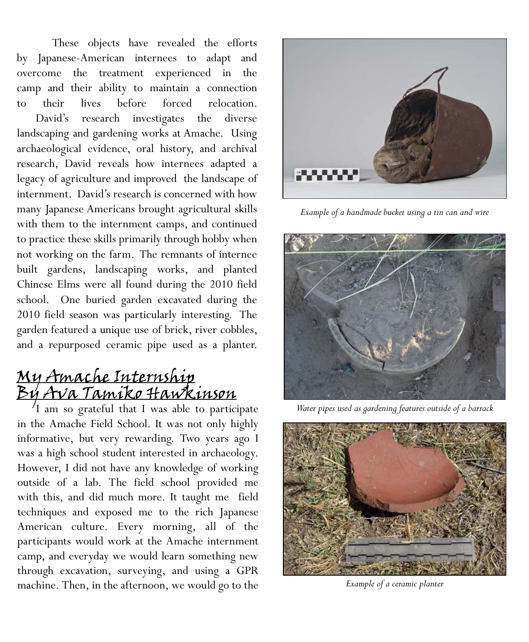These objects have revealed the efforts by Japanese-American internees to adapt and overcome the treatment experienced in the camp and their ability to maintain a connection to their lives before forced relocation.

David's research investigates the diverse landscaping and gardening works at Amache. Using archaeological evidence, oral history, and archival research, David reveals how internees adapted a legacy of agriculture and improved the landscape of internment. David's research is concerned with how many Japanese Americans brought agricultural skills with them to the internment camps, and continued to practice these skills primarily through hobby when not working on the farm. The remnants of internee built gardens, landscaping works, and planted Chinese Elms were all found during the 2010 field school. One buried garden excavated during the 2010 field season was particularly interesting. The garden featured a unique use of brick, river cobbles, and a repurposed ceramic pipe used as a planter.

# <u>My Amache Internship</u><br>By Ava Tamiko Hawkinson

 $\frac{1}{1}$  am so grateful that I was able to participate in the Amache Field School. It was not only highly informative, but very rewarding. Two years ago I was a high school student interested in archaeology. However, I did not have any knowledge of working outside of a lab. The field school provided me with this, and did much more. It taught me field techniques and exposed me to the rich Japanese American culture. Every morning, all of the participants would work at the Amache internment camp, and everyday we would learn something new through excavation, surveying, and using a GPR machine. Then, in the afternoon, we would go to the



*Example of a handmade bucket using a tin can and wire*



*Water pipes used as gardening features outside of a barrack*



*Example of a ceramic planter*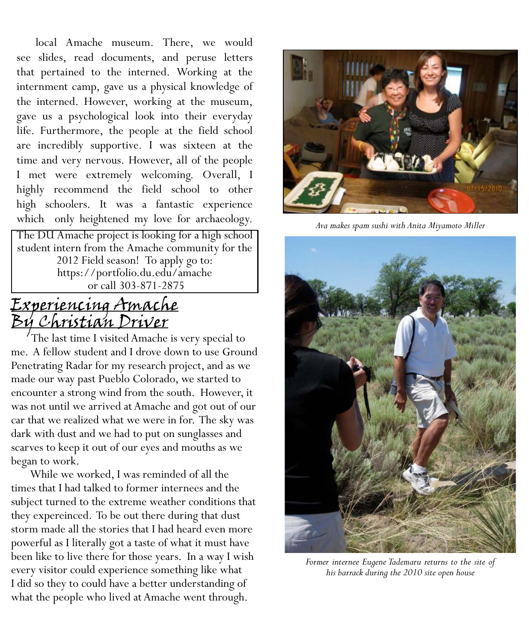local Amache museum. There, we would see slides, read documents, and peruse letters that pertained to the interned. Working at the internment camp, gave us a physical knowledge of the interned. However, working at the museum, gave us a psychological look into their everyday life. Furthermore, the people at the field school are incredibly supportive. I was sixteen at the time and very nervous. However, all of the people I met were extremely welcoming. Overall, I highly recommend the field school to other high schoolers. It was a fantastic experience which only heightened my love for archaeology.

The DU Amache project is looking for a high school student intern from the Amache community for the 2012 Field season! To apply go to: https://portfolio.du.edu/amache or call 303-871-2875

#### <u>Experiencing Amache</u> By Christian Driver

 The last time I visited Amache is very special to me. A fellow student and I drove down to use Ground Penetrating Radar for my research project, and as we made our way past Pueblo Colorado, we started to encounter a strong wind from the south. However, it was not until we arrived at Amache and got out of our car that we realized what we were in for. The sky was dark with dust and we had to put on sunglasses and scarves to keep it out of our eyes and mouths as we began to work.

While we worked, I was reminded of all the times that I had talked to former internees and the subject turned to the extreme weather conditions that they expereinced. To be out there during that dust storm made all the stories that I had heard even more powerful as I literally got a taste of what it must have been like to live there for those years. In a way I wish every visitor could experience something like what I did so they to could have a better understanding of what the people who lived at Amache went through.



*Ava makes spam sushi with Anita Miyamoto Miller*



*Former internee Eugene Tademaru returns to the site of his barrack during the 2010 site open house*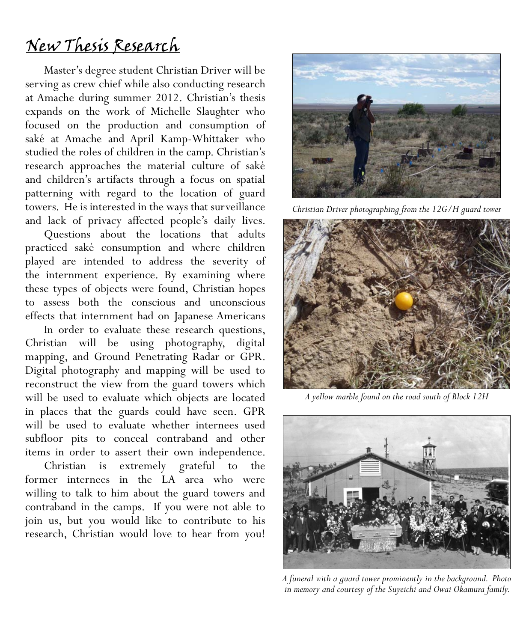### new thesis research

Master's degree student Christian Driver will be serving as crew chief while also conducting research at Amache during summer 2012. Christian's thesis expands on the work of Michelle Slaughter who focused on the production and consumption of saké at Amache and April Kamp-Whittaker who studied the roles of children in the camp. Christian's research approaches the material culture of saké and children's artifacts through a focus on spatial patterning with regard to the location of guard towers. He is interested in the ways that surveillance and lack of privacy affected people's daily lives.

Questions about the locations that adults practiced saké consumption and where children played are intended to address the severity of the internment experience. By examining where these types of objects were found, Christian hopes to assess both the conscious and unconscious effects that internment had on Japanese Americans

In order to evaluate these research questions, Christian will be using photography, digital mapping, and Ground Penetrating Radar or GPR. Digital photography and mapping will be used to reconstruct the view from the guard towers which will be used to evaluate which objects are located in places that the guards could have seen. GPR will be used to evaluate whether internees used subfloor pits to conceal contraband and other items in order to assert their own independence.

Christian is extremely grateful to the former internees in the LA area who were willing to talk to him about the guard towers and contraband in the camps. If you were not able to join us, but you would like to contribute to his research, Christian would love to hear from you!



*Christian Driver photographing from the 12G/H guard tower*



*A yellow marble found on the road south of Block 12H*



*A funeral with a guard tower prominently in the background. Photo in memory and courtesy of the Suyeichi and Owai Okamura family.*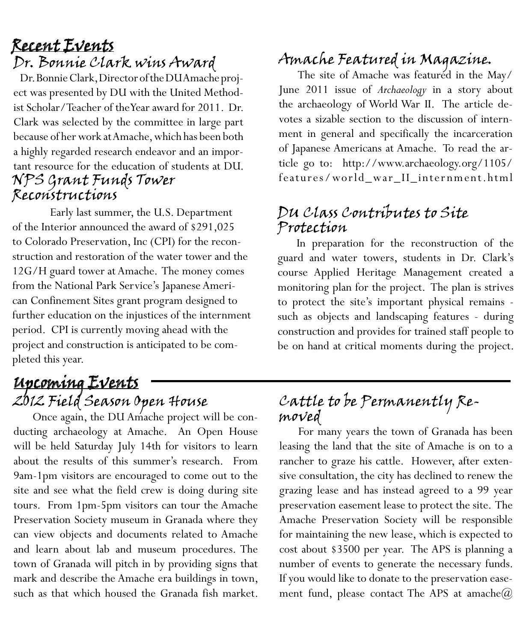Dr. Bonnie Clark wins Award

 Dr. Bonnie Clark, Director of the DU Amache project was presented by DU with the United Methodist Scholar/Teacher of the Year award for 2011. Dr. Clark was selected by the committee in large part because of her work at Amache, which has been both a highly regarded research endeavor and an important resource for the education of students at DU. NPS Grant Funds Tower Reconstructions

Early last summer, the U.S. Department of the Interior announced the award of \$291,025 to Colorado Preservation, Inc (CPI) for the reconstruction and restoration of the water tower and the 12G/H guard tower at Amache. The money comes from the National Park Service's Japanese American Confinement Sites grant program designed to further education on the injustices of the internment period. CPI is currently moving ahead with the project and construction is anticipated to be completed this year.

#### 2012 Field Season Open House Upcoming Events

Once again, the DU Amache project will be conducting archaeology at Amache. An Open House will be held Saturday July 14th for visitors to learn about the results of this summer's research. From 9am-1pm visitors are encouraged to come out to the site and see what the field crew is doing during site tours. From 1pm-5pm visitors can tour the Amache Preservation Society museum in Granada where they can view objects and documents related to Amache and learn about lab and museum procedures. The town of Granada will pitch in by providing signs that mark and describe the Amache era buildings in town, such as that which housed the Granada fish market.

# <u>Recent Events</u><br>Dr. Bonnie Clark wins Award Amache Featured in Magazine.

The site of Amache was featured in the May/ June 2011 issue of *Archaeology* in a story about the archaeology of World War II. The article devotes a sizable section to the discussion of internment in general and specifically the incarceration of Japanese Americans at Amache. To read the article go to: http://www.archaeology.org/1105/ features/world\_war\_II\_inter nment.html

#### DU Class Contributes to Site Protection

In preparation for the reconstruction of the guard and water towers, students in Dr. Clark's course Applied Heritage Management created a monitoring plan for the project. The plan is strives to protect the site's important physical remains such as objects and landscaping features - during construction and provides for trained staff people to be on hand at critical moments during the project.

#### Cattle to be Permanently Removed

For many years the town of Granada has been leasing the land that the site of Amache is on to a rancher to graze his cattle. However, after extensive consultation, the city has declined to renew the grazing lease and has instead agreed to a 99 year preservation easement lease to protect the site. The Amache Preservation Society will be responsible for maintaining the new lease, which is expected to cost about \$3500 per year. The APS is planning a number of events to generate the necessary funds. If you would like to donate to the preservation easement fund, please contact The APS at amache $@$